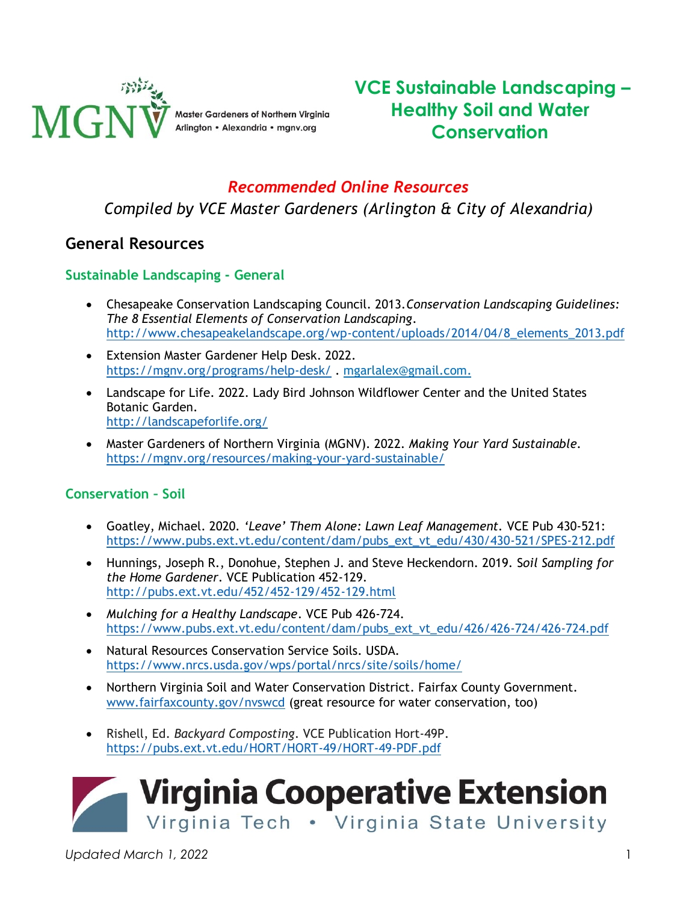

# **VCE Sustainable Landscaping – Healthy Soil and Water Conservation**

### *Recommended Online Resources*

*Compiled by VCE Master Gardeners (Arlington & City of Alexandria)*

### **General Resources**

#### **Sustainable Landscaping - General**

- Chesapeake Conservation Landscaping Council. 2013.*Conservation Landscaping Guidelines: The 8 Essential Elements of Conservation Landscaping*. [http://www.chesapeakelandscape.org/wp-content/uploads/2014/04/8\\_elements\\_2013.pdf](http://www.chesapeakelandscape.org/wp-content/uploads/2014/04/8_elements_2013.pdf)
- Extension Master Gardener Help Desk. 2022. <https://mgnv.org/programs/help-desk/> . [mgarlalex@gmail.com.](mailto:mgarlalex@gmail.com)
- Landscape for Life. 2022. Lady Bird Johnson Wildflower Center and the United States Botanic Garden. <http://landscapeforlife.org/>
- Master Gardeners of Northern Virginia (MGNV). 2022. *Making Your Yard Sustainable.* <https://mgnv.org/resources/making-your-yard-sustainable/>

#### **Conservation – Soil**

- Goatley, Michael. 2020*. 'Leave' Them Alone: Lawn Leaf Management.* VCE Pub 430-521: [https://www.pubs.ext.vt.edu/content/dam/pubs\\_ext\\_vt\\_edu/430/430-521/SPES-212.pdf](https://www.pubs.ext.vt.edu/content/dam/pubs_ext_vt_edu/430/430-521/SPES-212.pdf)
- Hunnings, Joseph R., Donohue, Stephen J. and Steve Heckendorn. 2019. S*oil Sampling for the Home Gardener*. VCE Publication 452-129. <http://pubs.ext.vt.edu/452/452-129/452-129.html>
- *Mulching for a Healthy Landscape*. VCE Pub 426-724. [https://www.pubs.ext.vt.edu/content/dam/pubs\\_ext\\_vt\\_edu/426/426-724/426-724.pdf](https://www.pubs.ext.vt.edu/content/dam/pubs_ext_vt_edu/426/426-724/426-724.pdf)
- Natural Resources Conservation Service Soils. USDA. <https://www.nrcs.usda.gov/wps/portal/nrcs/site/soils/home/>
- Northern Virginia Soil and Water Conservation District. Fairfax County Government. [www.fairfaxcounty.gov/nvswcd](http://www.fairfaxcounty.gov/nvswcd) (great resource for water conservation, too)
- Rishell, Ed. *Backyard Composting*. VCE Publication Hort-49P. <https://pubs.ext.vt.edu/HORT/HORT-49/HORT-49-PDF.pdf>



*Updated March 1, 2022* 1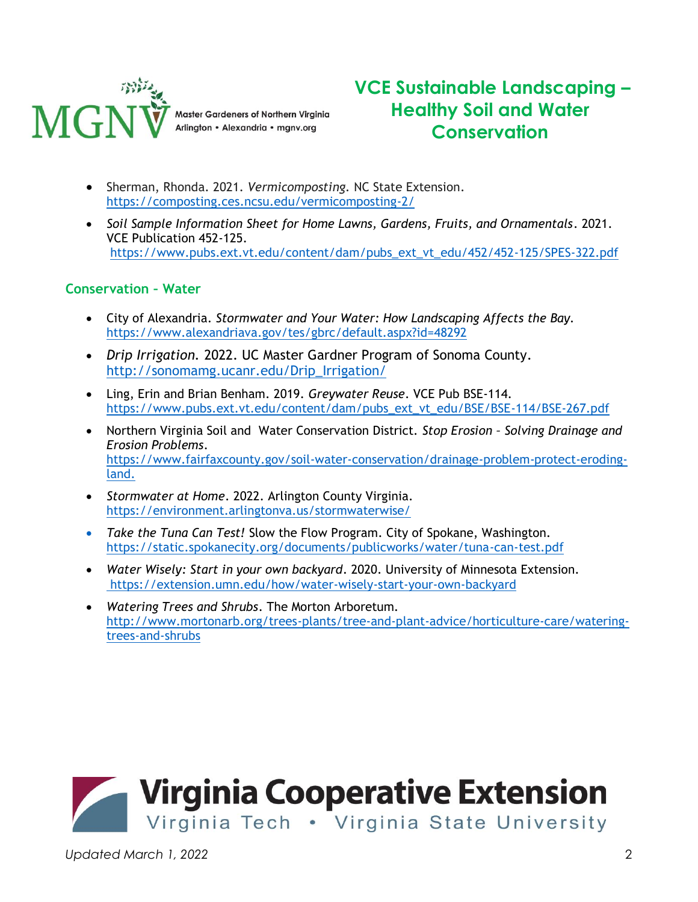

# **VCE Sustainable Landscaping – Healthy Soil and Water Conservation**

- Sherman, Rhonda. 2021. *Vermicomposting.* NC State Extension. <https://composting.ces.ncsu.edu/vermicomposting-2/>
- *Soil Sample Information Sheet for Home Lawns, Gardens, Fruits, and Ornamentals*. 2021. VCE Publication 452-125. [https://www.pubs.ext.vt.edu/content/dam/pubs\\_ext\\_vt\\_edu/452/452-125/SPES-322.pdf](https://www.pubs.ext.vt.edu/content/dam/pubs_ext_vt_edu/452/452-125/SPES-322.pdf)

#### **Conservation – Water**

- City of Alexandria. *Stormwater and Your Water: How Landscaping Affects the Bay.* <https://www.alexandriava.gov/tes/gbrc/default.aspx?id=48292>
- *Drip Irrigation.* 2022. UC Master Gardner Program of Sonoma County. [http://sonomamg.ucanr.edu/Drip\\_Irrigation/](http://sonomamg.ucanr.edu/Drip_Irrigation/)
- Ling, Erin and Brian Benham. 2019. *Greywater Reuse*. VCE Pub BSE-114. [https://www.pubs.ext.vt.edu/content/dam/pubs\\_ext\\_vt\\_edu/BSE/BSE-114/BSE-267.pdf](https://www.pubs.ext.vt.edu/content/dam/pubs_ext_vt_edu/BSE/BSE-114/BSE-267.pdf)
- Northern Virginia Soil and Water Conservation District. *Stop Erosion – Solving Drainage and Erosion Problems*. [https://www.fairfaxcounty.gov/soil-water-conservation/drainage-problem-protect-eroding](https://www.fairfaxcounty.gov/soil-water-conservation/drainage-problem-protect-eroding-land)[land.](https://www.fairfaxcounty.gov/soil-water-conservation/drainage-problem-protect-eroding-land)
- *Stormwater at Home*. 2022. Arlington County Virginia. <https://environment.arlingtonva.us/stormwaterwise/>
- *Take the Tuna Can Test!* Slow the Flow Program. City of Spokane, Washington. <https://static.spokanecity.org/documents/publicworks/water/tuna-can-test.pdf>
- *Water Wisely: Start in your own backyard*. 2020. University of Minnesota Extension. <https://extension.umn.edu/how/water-wisely-start-your-own-backyard>
- *Watering Trees and Shrubs*. The Morton Arboretum. [http://www.mortonarb.org/trees-plants/tree-and-plant-advice/horticulture-care/watering](http://www.mortonarb.org/trees-plants/tree-and-plant-advice/horticulture-care/watering-trees-and-shrubs)[trees-and-shrubs](http://www.mortonarb.org/trees-plants/tree-and-plant-advice/horticulture-care/watering-trees-and-shrubs)



*Updated March 1, 2022* 2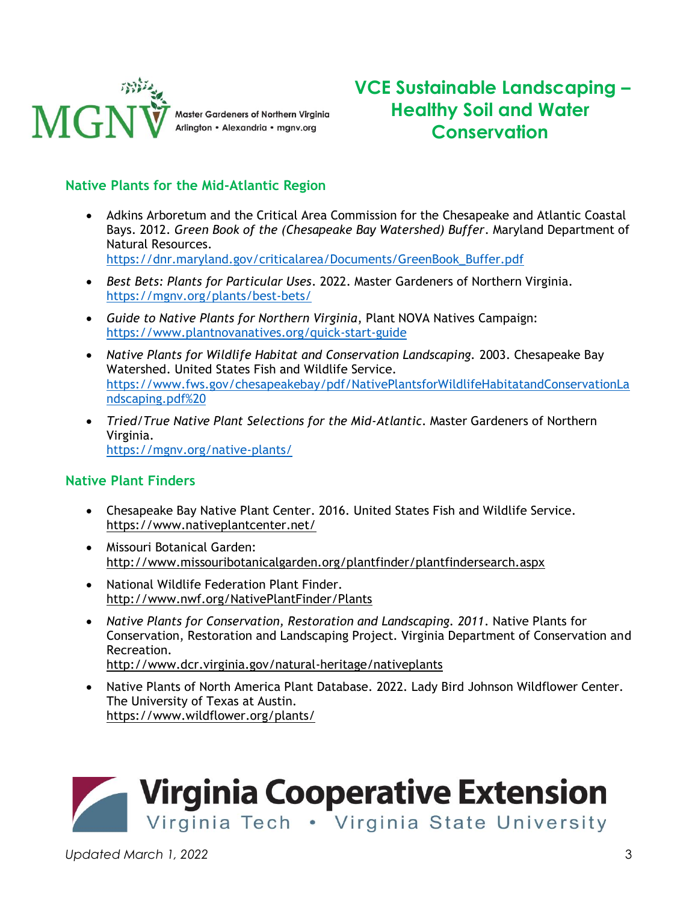

# **VCE Sustainable Landscaping – Healthy Soil and Water Conservation**

#### **Native Plants for the Mid-Atlantic Region**

- Adkins Arboretum and the Critical Area Commission for the Chesapeake and Atlantic Coastal Bays. 2012. *Green Book of the (Chesapeake Bay Watershed) Buffer*. Maryland Department of Natural Resources. [https://dnr.maryland.gov/criticalarea/Documents/GreenBook\\_Buffer.pdf](https://dnr.maryland.gov/criticalarea/Documents/GreenBook_Buffer.pdf)
- *Best Bets: Plants for Particular Uses*. 2022. Master Gardeners of Northern Virginia. <https://mgnv.org/plants/best-bets/>
- *Guide to Native Plants for Northern Virginia*, Plant NOVA Natives Campaign: <https://www.plantnovanatives.org/quick-start-guide>
- *Native Plants for Wildlife Habitat and Conservation Landscaping.* 2003. Chesapeake Bay Watershed. United States Fish and Wildlife Service. [https://www.fws.gov/chesapeakebay/pdf/NativePlantsforWildlifeHabitatandConservationLa](https://www.fws.gov/chesapeakebay/pdf/NativePlantsforWildlifeHabitatandConservationLandscaping.pdf) [ndscaping.pdf%20](https://www.fws.gov/chesapeakebay/pdf/NativePlantsforWildlifeHabitatandConservationLandscaping.pdf)
- *Tried/True Native Plant Selections for the Mid-Atlantic*. Master Gardeners of Northern Virginia. <https://mgnv.org/native-plants/>

#### **Native Plant Finders**

- Chesapeake Bay Native Plant Center. 2016. United States Fish and Wildlife Service. <https://www.nativeplantcenter.net/>
- Missouri Botanical Garden: <http://www.missouribotanicalgarden.org/plantfinder/plantfindersearch.aspx>
- National Wildlife Federation Plant Finder. <http://www.nwf.org/NativePlantFinder/Plants>
- *Native Plants for Conservation, Restoration and Landscaping. 2011*. Native Plants for Conservation, Restoration and Landscaping Project. Virginia Department of Conservation and Recreation. <http://www.dcr.virginia.gov/natural-heritage/nativeplants>
- Native Plants of North America Plant Database*.* 2022*.* Lady Bird Johnson Wildflower Center. The University of Texas at Austin. <https://www.wildflower.org/plants/>

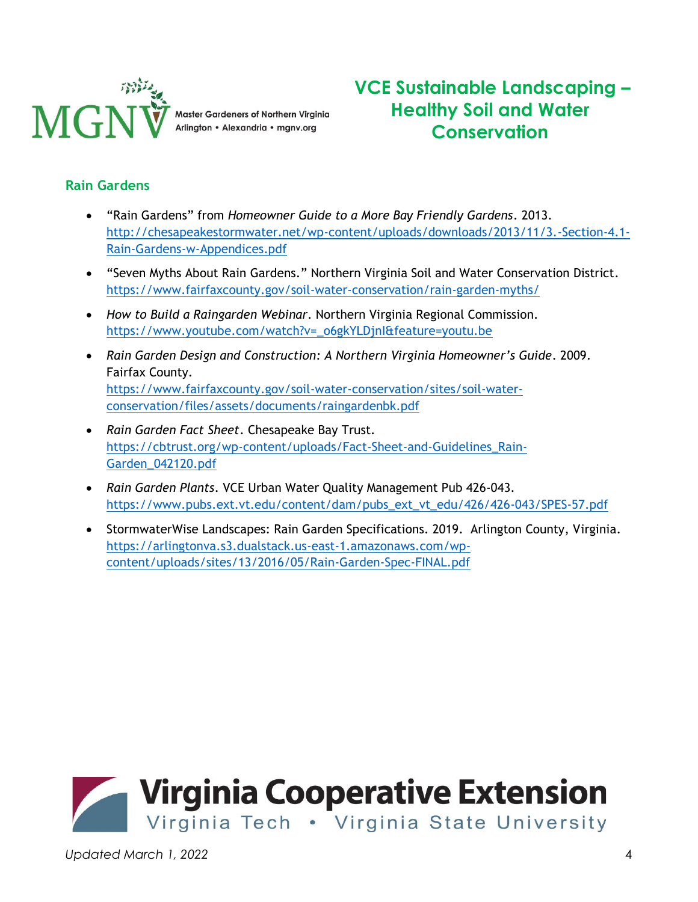

**VCE Sustainable Landscaping – Healthy Soil and Water Conservation**

### **Rain Gardens**

- "Rain Gardens" from *Homeowner Guide to a More Bay Friendly Gardens*. 2013. [http://chesapeakestormwater.net/wp-content/uploads/downloads/2013/11/3.-Section-4.1-](http://chesapeakestormwater.net/wp-content/uploads/downloads/2013/11/3.-Section-4.1-Rain-Gardens-w-Appendices.pdf) [Rain-Gardens-w-Appendices.pdf](http://chesapeakestormwater.net/wp-content/uploads/downloads/2013/11/3.-Section-4.1-Rain-Gardens-w-Appendices.pdf)
- "Seven Myths About Rain Gardens." Northern Virginia Soil and Water Conservation District. <https://www.fairfaxcounty.gov/soil-water-conservation/rain-garden-myths/>
- *How to Build a Raingarden Webinar*. Northern Virginia Regional Commission. [https://www.youtube.com/watch?v=\\_o6gkYLDjnI&feature=youtu.be](https://www.youtube.com/watch?v=_o6gkYLDjnI&feature=youtu.be)
- *Rain Garden Design and Construction: A Northern Virginia Homeowner's Guide*. 2009. Fairfax County. [https://www.fairfaxcounty.gov/soil-water-conservation/sites/soil-water](https://www.fairfaxcounty.gov/soil-water-conservation/sites/soil-water-conservation/files/assets/documents/raingardenbk.pdf)[conservation/files/assets/documents/raingardenbk.pdf](https://www.fairfaxcounty.gov/soil-water-conservation/sites/soil-water-conservation/files/assets/documents/raingardenbk.pdf)
- *Rain Garden Fact Sheet*. Chesapeake Bay Trust. [https://cbtrust.org/wp-content/uploads/Fact-Sheet-and-Guidelines\\_Rain-](https://cbtrust.org/wp-content/uploads/Fact-Sheet-and-Guidelines_Rain-Garden_042120.pdf)[Garden\\_042120.pdf](https://cbtrust.org/wp-content/uploads/Fact-Sheet-and-Guidelines_Rain-Garden_042120.pdf)
- *Rain Garden Plants*. VCE Urban Water Quality Management Pub 426-043. [https://www.pubs.ext.vt.edu/content/dam/pubs\\_ext\\_vt\\_edu/426/426-043/SPES-57.pdf](https://www.pubs.ext.vt.edu/content/dam/pubs_ext_vt_edu/426/426-043/SPES-57.pdf)
- StormwaterWise Landscapes: Rain Garden Specifications. 2019. Arlington County, Virginia. [https://arlingtonva.s3.dualstack.us-east-1.amazonaws.com/wp](https://arlingtonva.s3.dualstack.us-east-1.amazonaws.com/wp-content/uploads/sites/13/2016/05/Rain-Garden-Spec-FINAL.pdf)[content/uploads/sites/13/2016/05/Rain-Garden-Spec-FINAL.pdf](https://arlingtonva.s3.dualstack.us-east-1.amazonaws.com/wp-content/uploads/sites/13/2016/05/Rain-Garden-Spec-FINAL.pdf)

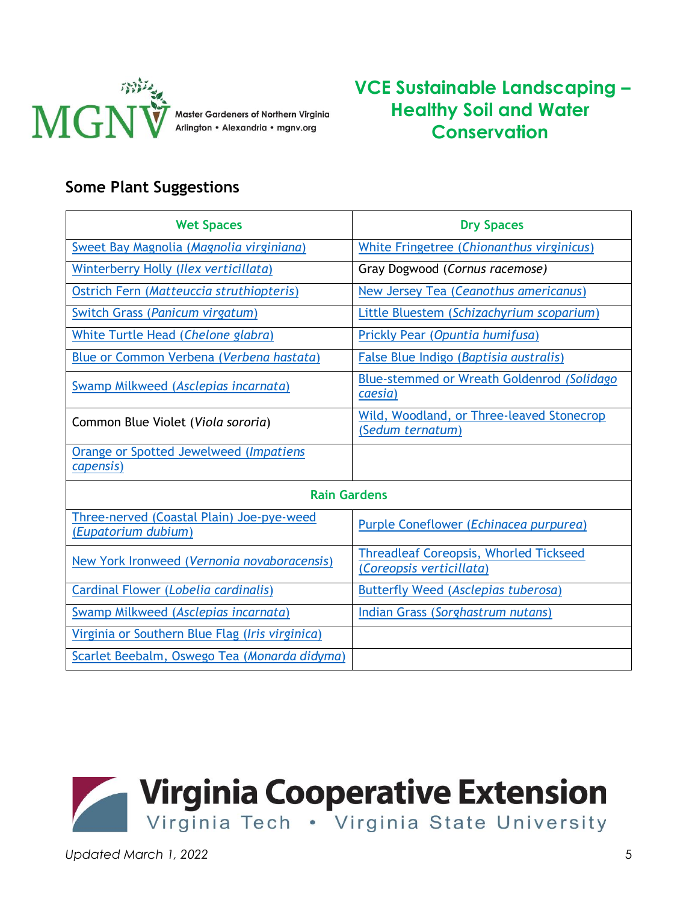

# **VCE Sustainable Landscaping – Healthy Soil and Water Conservation**

## **Some Plant Suggestions**

| <b>Wet Spaces</b>                                                | <b>Dry Spaces</b>                                                         |
|------------------------------------------------------------------|---------------------------------------------------------------------------|
| Sweet Bay Magnolia (Magnolia virginiana)                         | White Fringetree (Chionanthus virginicus)                                 |
| Winterberry Holly (Ilex verticillata)                            | Gray Dogwood (Cornus racemose)                                            |
| Ostrich Fern (Matteuccia struthiopteris)                         | New Jersey Tea (Ceanothus americanus)                                     |
| Switch Grass (Panicum virgatum)                                  | Little Bluestem (Schizachyrium scoparium)                                 |
| White Turtle Head (Chelone glabra)                               | Prickly Pear (Opuntia humifusa)                                           |
| Blue or Common Verbena (Verbena hastata)                         | False Blue Indigo (Baptisia australis)                                    |
| Swamp Milkweed (Asclepias incarnata)                             | Blue-stemmed or Wreath Goldenrod (Solidago<br>caesia)                     |
| Common Blue Violet (Viola sororia)                               | Wild, Woodland, or Three-leaved Stonecrop<br>(Sedum ternatum)             |
| Orange or Spotted Jewelweed (Impatiens                           |                                                                           |
| capensis)                                                        |                                                                           |
| <b>Rain Gardens</b>                                              |                                                                           |
| Three-nerved (Coastal Plain) Joe-pye-weed<br>(Eupatorium dubium) | Purple Coneflower (Echinacea purpurea)                                    |
| New York Ironweed (Vernonia novaboracensis)                      | <b>Threadleaf Coreopsis, Whorled Tickseed</b><br>(Coreopsis verticillata) |
| Cardinal Flower (Lobelia cardinalis)                             | Butterfly Weed (Asclepias tuberosa)                                       |
| Swamp Milkweed (Asclepias incarnata)                             | Indian Grass (Sorghastrum nutans)                                         |
| Virginia or Southern Blue Flag (Iris virginica)                  |                                                                           |
| Scarlet Beebalm, Oswego Tea (Monarda didyma)                     |                                                                           |